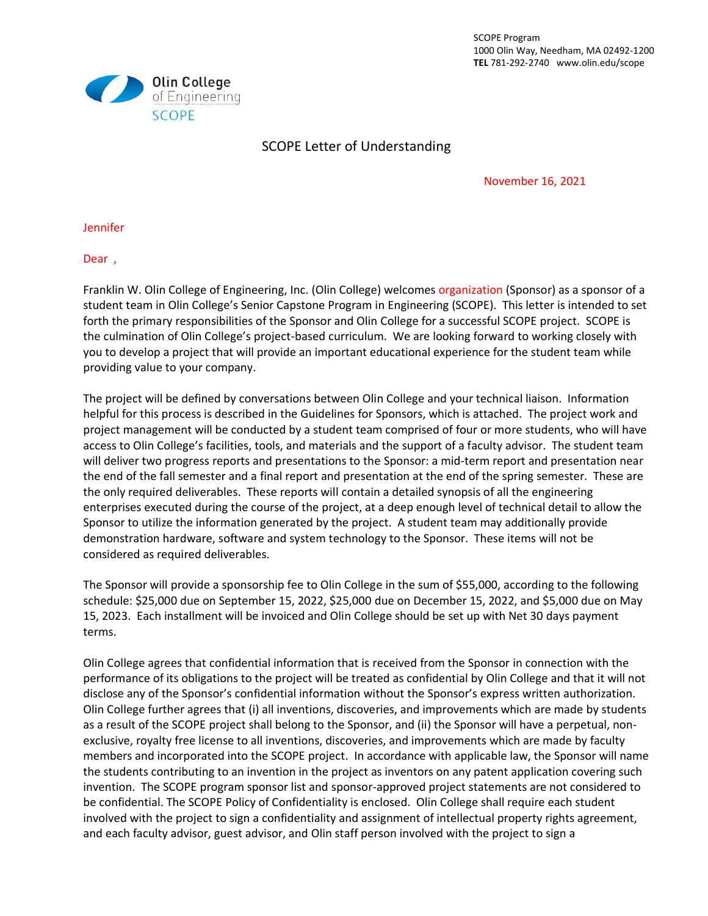SCOPE Program 1000 Olin Way, Needham, MA 02492-1200 **TEL** 781-292-2740 www.olin.edu/scope



## SCOPE Letter of Understanding

November 16, 2021

Jennifer

Dear ,

Franklin W. Olin College of Engineering, Inc. (Olin College) welcomes organization (Sponsor) as a sponsor of a student team in Olin College's Senior Capstone Program in Engineering (SCOPE). This letter is intended to set forth the primary responsibilities of the Sponsor and Olin College for a successful SCOPE project. SCOPE is the culmination of Olin College's project-based curriculum. We are looking forward to working closely with you to develop a project that will provide an important educational experience for the student team while providing value to your company.

The project will be defined by conversations between Olin College and your technical liaison. Information helpful for this process is described in the Guidelines for Sponsors, which is attached. The project work and project management will be conducted by a student team comprised of four or more students, who will have access to Olin College's facilities, tools, and materials and the support of a faculty advisor. The student team will deliver two progress reports and presentations to the Sponsor: a mid-term report and presentation near the end of the fall semester and a final report and presentation at the end of the spring semester. These are the only required deliverables. These reports will contain a detailed synopsis of all the engineering enterprises executed during the course of the project, at a deep enough level of technical detail to allow the Sponsor to utilize the information generated by the project. A student team may additionally provide demonstration hardware, software and system technology to the Sponsor. These items will not be considered as required deliverables.

The Sponsor will provide a sponsorship fee to Olin College in the sum of \$55,000, according to the following schedule: \$25,000 due on September 15, 2022, \$25,000 due on December 15, 2022, and \$5,000 due on May 15, 2023. Each installment will be invoiced and Olin College should be set up with Net 30 days payment terms.

Olin College agrees that confidential information that is received from the Sponsor in connection with the performance of its obligations to the project will be treated as confidential by Olin College and that it will not disclose any of the Sponsor's confidential information without the Sponsor's express written authorization. Olin College further agrees that (i) all inventions, discoveries, and improvements which are made by students as a result of the SCOPE project shall belong to the Sponsor, and (ii) the Sponsor will have a perpetual, nonexclusive, royalty free license to all inventions, discoveries, and improvements which are made by faculty members and incorporated into the SCOPE project. In accordance with applicable law, the Sponsor will name the students contributing to an invention in the project as inventors on any patent application covering such invention. The SCOPE program sponsor list and sponsor-approved project statements are not considered to be confidential. The SCOPE Policy of Confidentiality is enclosed. Olin College shall require each student involved with the project to sign a confidentiality and assignment of intellectual property rights agreement, and each faculty advisor, guest advisor, and Olin staff person involved with the project to sign a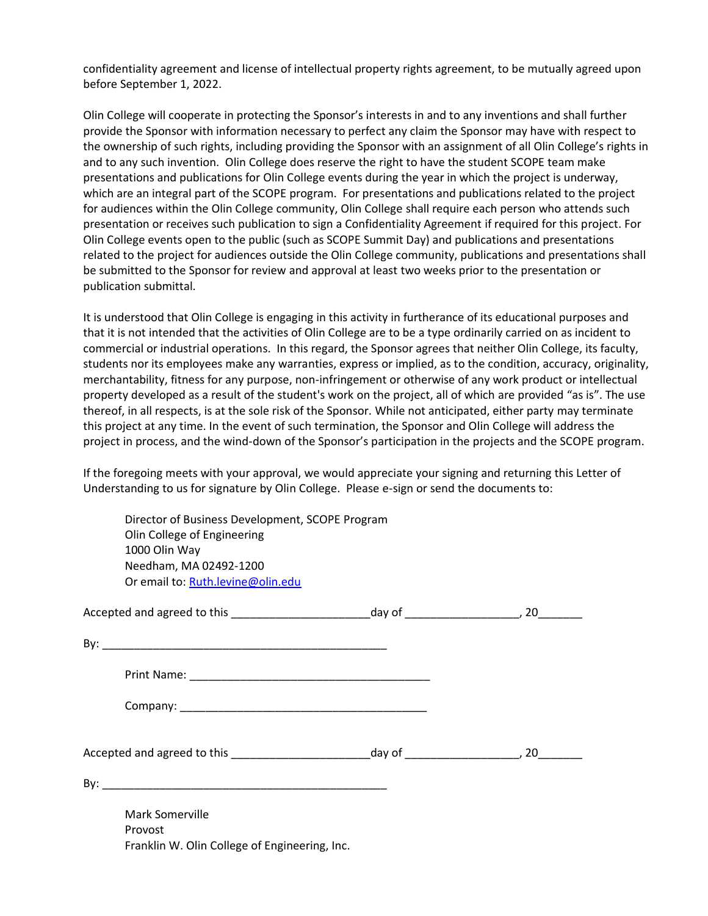confidentiality agreement and license of intellectual property rights agreement, to be mutually agreed upon before September 1, 2022.

Olin College will cooperate in protecting the Sponsor's interests in and to any inventions and shall further provide the Sponsor with information necessary to perfect any claim the Sponsor may have with respect to the ownership of such rights, including providing the Sponsor with an assignment of all Olin College's rights in and to any such invention. Olin College does reserve the right to have the student SCOPE team make presentations and publications for Olin College events during the year in which the project is underway, which are an integral part of the SCOPE program. For presentations and publications related to the project for audiences within the Olin College community, Olin College shall require each person who attends such presentation or receives such publication to sign a Confidentiality Agreement if required for this project. For Olin College events open to the public (such as SCOPE Summit Day) and publications and presentations related to the project for audiences outside the Olin College community, publications and presentations shall be submitted to the Sponsor for review and approval at least two weeks prior to the presentation or publication submittal.

It is understood that Olin College is engaging in this activity in furtherance of its educational purposes and that it is not intended that the activities of Olin College are to be a type ordinarily carried on as incident to commercial or industrial operations. In this regard, the Sponsor agrees that neither Olin College, its faculty, students nor its employees make any warranties, express or implied, as to the condition, accuracy, originality, merchantability, fitness for any purpose, non-infringement or otherwise of any work product or intellectual property developed as a result of the student's work on the project, all of which are provided "as is". The use thereof, in all respects, is at the sole risk of the Sponsor. While not anticipated, either party may terminate this project at any time. In the event of such termination, the Sponsor and Olin College will address the project in process, and the wind-down of the Sponsor's participation in the projects and the SCOPE program.

If the foregoing meets with your approval, we would appreciate your signing and returning this Letter of Understanding to us for signature by Olin College. Please e-sign or send the documents to:

| Director of Business Development, SCOPE Program<br>Olin College of Engineering<br>1000 Olin Way<br>Needham, MA 02492-1200<br>Or email to: Ruth.levine@olin.edu |  |
|----------------------------------------------------------------------------------------------------------------------------------------------------------------|--|
|                                                                                                                                                                |  |
|                                                                                                                                                                |  |
|                                                                                                                                                                |  |
|                                                                                                                                                                |  |
|                                                                                                                                                                |  |
|                                                                                                                                                                |  |
| Mark Somerville<br>Provost<br>Franklin W. Olin College of Engineering, Inc.                                                                                    |  |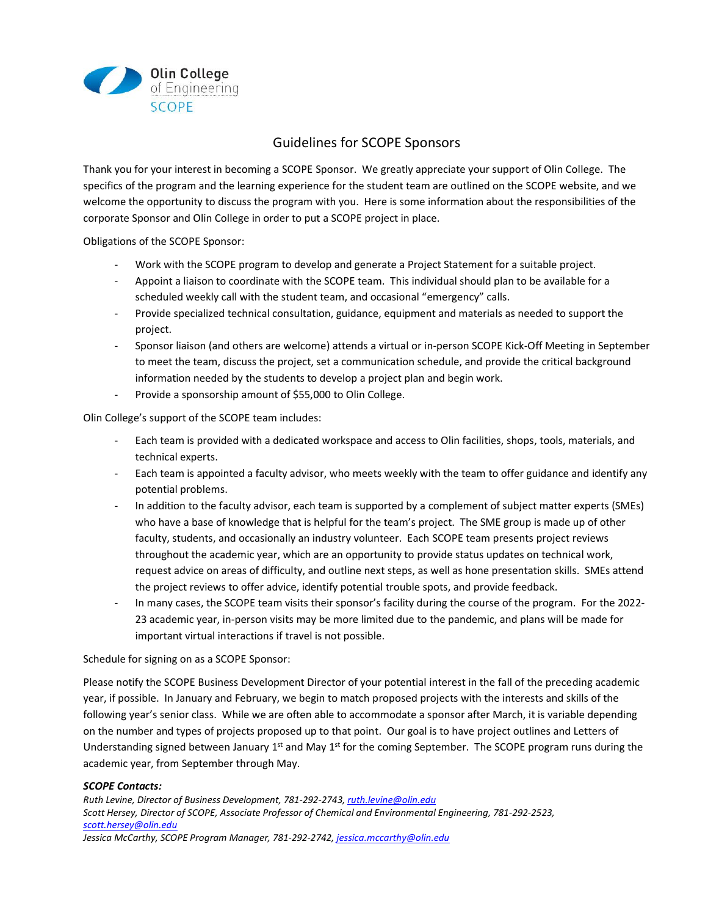

## Guidelines for SCOPE Sponsors

Thank you for your interest in becoming a SCOPE Sponsor. We greatly appreciate your support of Olin College. The specifics of the program and the learning experience for the student team are outlined on the SCOPE website, and we welcome the opportunity to discuss the program with you. Here is some information about the responsibilities of the corporate Sponsor and Olin College in order to put a SCOPE project in place.

Obligations of the SCOPE Sponsor:

- Work with the SCOPE program to develop and generate a Project Statement for a suitable project.
- Appoint a liaison to coordinate with the SCOPE team. This individual should plan to be available for a scheduled weekly call with the student team, and occasional "emergency" calls.
- Provide specialized technical consultation, guidance, equipment and materials as needed to support the project.
- Sponsor liaison (and others are welcome) attends a virtual or in-person SCOPE Kick-Off Meeting in September to meet the team, discuss the project, set a communication schedule, and provide the critical background information needed by the students to develop a project plan and begin work.
- Provide a sponsorship amount of \$55,000 to Olin College.

Olin College's support of the SCOPE team includes:

- Each team is provided with a dedicated workspace and access to Olin facilities, shops, tools, materials, and technical experts.
- Each team is appointed a faculty advisor, who meets weekly with the team to offer guidance and identify any potential problems.
- In addition to the faculty advisor, each team is supported by a complement of subject matter experts (SMEs) who have a base of knowledge that is helpful for the team's project. The SME group is made up of other faculty, students, and occasionally an industry volunteer. Each SCOPE team presents project reviews throughout the academic year, which are an opportunity to provide status updates on technical work, request advice on areas of difficulty, and outline next steps, as well as hone presentation skills. SMEs attend the project reviews to offer advice, identify potential trouble spots, and provide feedback.
- In many cases, the SCOPE team visits their sponsor's facility during the course of the program. For the 2022-23 academic year, in-person visits may be more limited due to the pandemic, and plans will be made for important virtual interactions if travel is not possible.

Schedule for signing on as a SCOPE Sponsor:

Please notify the SCOPE Business Development Director of your potential interest in the fall of the preceding academic year, if possible. In January and February, we begin to match proposed projects with the interests and skills of the following year's senior class. While we are often able to accommodate a sponsor after March, it is variable depending on the number and types of projects proposed up to that point. Our goal is to have project outlines and Letters of Understanding signed between January 1<sup>st</sup> and May 1<sup>st</sup> for the coming September. The SCOPE program runs during the academic year, from September through May.

## *SCOPE Contacts:*

*Ruth Levine, Director of Business Development, 781-292-2743[, ruth.levine@olin.edu](mailto:ruth.levine@olin.edu) Scott Hersey, Director of SCOPE, Associate Professor of Chemical and Environmental Engineering, 781-292-2523, [scott.hersey@olin.edu](mailto:scott.hersey@olin.edu)*

*Jessica McCarthy, SCOPE Program Manager, 781-292-2742[, jessica.mccarthy@olin.edu](mailto:jessica.mccarthy@olin.edu)*